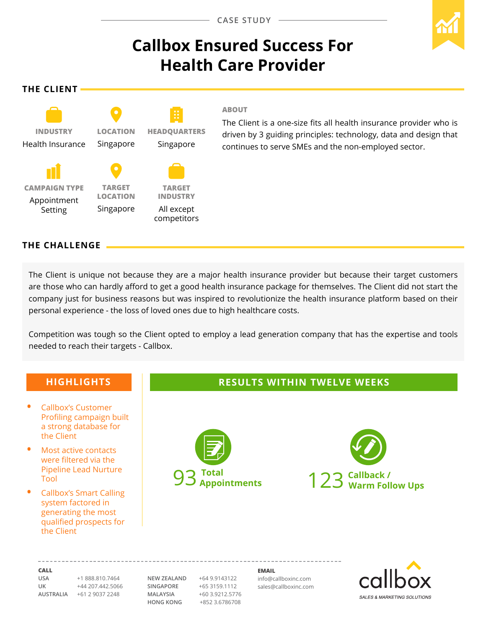# **Callbox Ensured Success For Health Care Provider**

**The Client**



#### **ABOUT**

The Client is a one-size fits all health insurance provider who is driven by 3 guiding principles: technology, data and design that continues to serve SMEs and the non-employed sector.

# **The CHALLENGE**

The Client is unique not because they are a major health insurance provider but because their target customers are those who can hardly afford to get a good health insurance package for themselves. The Client did not start the company just for business reasons but was inspired to revolutionize the health insurance platform based on their personal experience - the loss of loved ones due to high healthcare costs.

Competition was tough so the Client opted to employ a lead generation company that has the expertise and tools needed to reach their targets - Callbox.

# **Highlights**

- **•**  Callbox's Customer Profiling campaign built a strong database for the Client
- **Most active contacts** were filtered via the Pipeline Lead Nurture Tool
- **•**  Callbox's Smart Calling system factored in generating the most qualified prospects for the Client

# **Results within TWELVE weeks**





**Call**

**USA** +1 888.810.7464 **UK** +44 207.442.5066 **AUSTRALIA** +61 2 9037 2248

**NEW ZEALAND** +64 9.9143122 **SINGAPORE** +65 3159.1112 **MALAYSIA** +60 3.9212.5776 **HONG KONG** +852 3.6786708

**Email** info@callboxinc.com sales@callboxinc.com